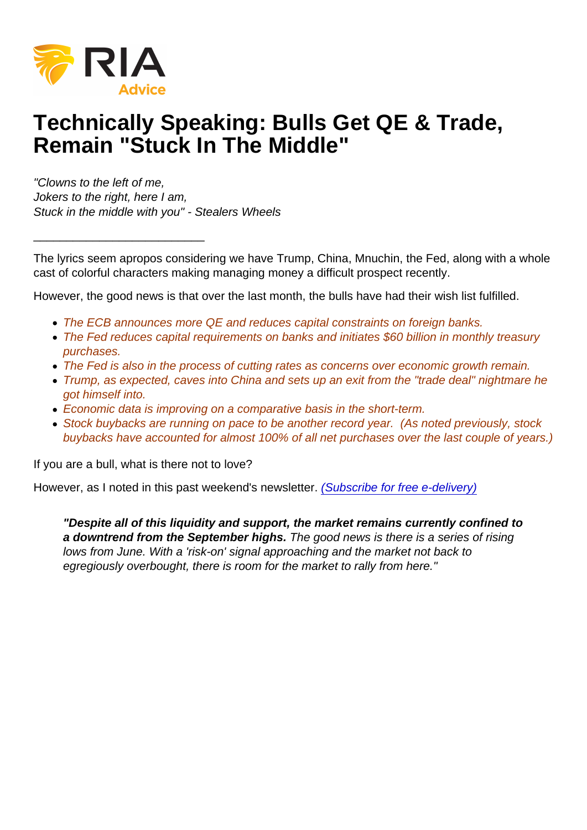## Technically Speaking: Bulls Get QE & Trade, Remain "Stuck In The Middle"

"Clowns to the left of me, Jokers to the right, here I am, Stuck in the middle with you" - Stealers Wheels

\_\_\_\_\_\_\_\_\_\_\_\_\_\_\_\_\_\_\_\_\_\_\_\_\_\_

The lyrics seem apropos considering we have Trump, China, Mnuchin, the Fed, along with a whole cast of colorful characters making managing money a difficult prospect recently.

However, the good news is that over the last month, the bulls have had their wish list fulfilled.

- The ECB announces more QE and reduces capital constraints on foreign banks.
- The Fed reduces capital requirements on banks and initiates \$60 billion in monthly treasury purchases.
- The Fed is also in the process of cutting rates as concerns over economic growth remain.
- Trump, as expected, caves into China and sets up an exit from the "trade deal" nightmare he got himself into.
- Economic data is improving on a comparative basis in the short-term.
- Stock buybacks are running on pace to be another record year. (As noted previously, stock buybacks have accounted for almost 100% of all net purchases over the last couple of years.)

If you are a bull, what is there not to love?

However, as I noted in this past weekend's newsletter. [\(Subscribe for free e-delivery\)](http://email.theriotcreative.com/h/r/3C0F62EA2210C395)

"Despite all of this liquidity and support, the market remains currently confined to a downtrend from the September highs. The good news is there is a series of rising lows from June. With a 'risk-on' signal approaching and the market not back to egregiously overbought, there is room for the market to rally from here."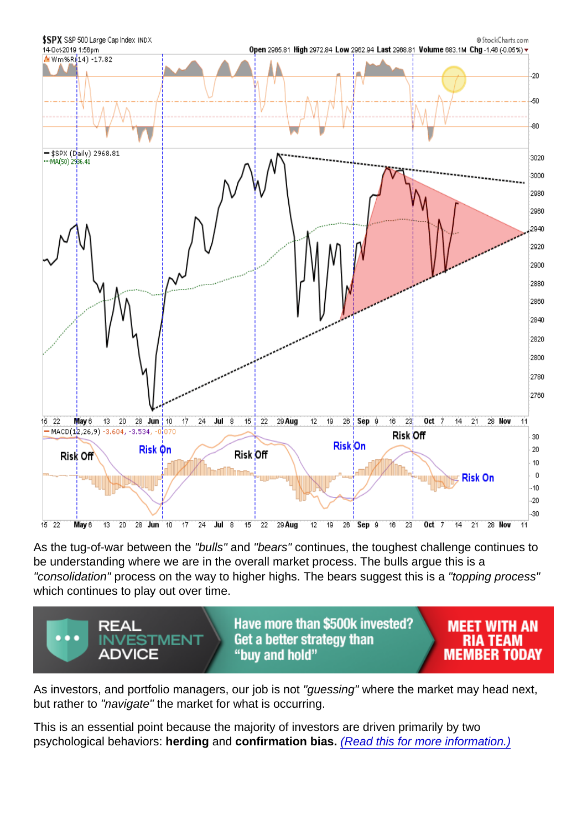As the tug-of-war between the "bulls" and "bears" continues, the toughest challenge continues to be understanding where we are in the overall market process. The bulls argue this is a "consolidation" process on the way to higher highs. The bears suggest this is a "topping process" which continues to play out over time.

As investors, and portfolio managers, our job is not "guessing" where the market may head next, but rather to "navigate" the market for what is occurring.

This is an essential point because the majority of investors are driven primarily by two psychological behaviors: herding and confirmation bias. [\(Read this for more information.\)](https://realinvestmentadvice.com/the-5-mental-traps-investors-are-falling-into-right-now/)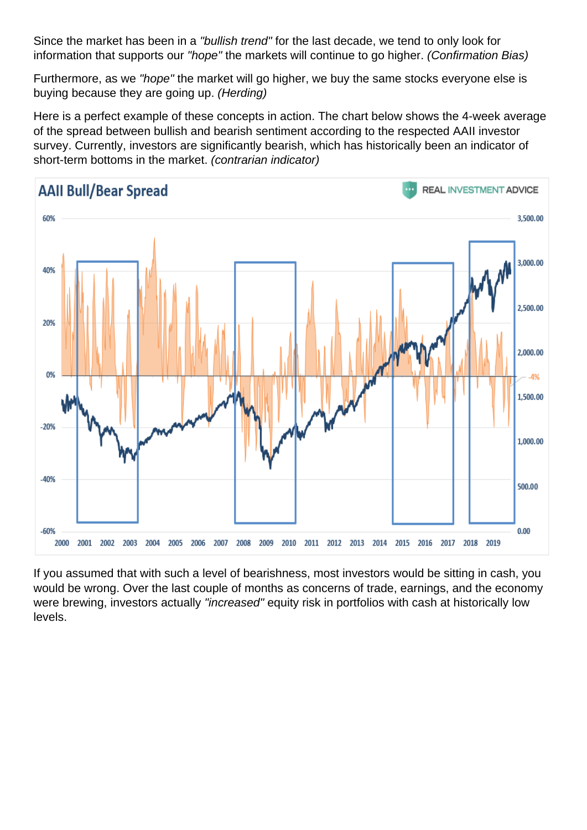Since the market has been in a "bullish trend" for the last decade, we tend to only look for information that supports our "hope" the markets will continue to go higher. (Confirmation Bias)

Furthermore, as we "hope" the market will go higher, we buy the same stocks everyone else is buying because they are going up. (Herding)

Here is a perfect example of these concepts in action. The chart below shows the 4-week average of the spread between bullish and bearish sentiment according to the respected AAII investor survey. Currently, investors are significantly bearish, which has historically been an indicator of short-term bottoms in the market. (contrarian indicator)

If you assumed that with such a level of bearishness, most investors would be sitting in cash, you would be wrong. Over the last couple of months as concerns of trade, earnings, and the economy were brewing, investors actually "increased" equity risk in portfolios with cash at historically low levels.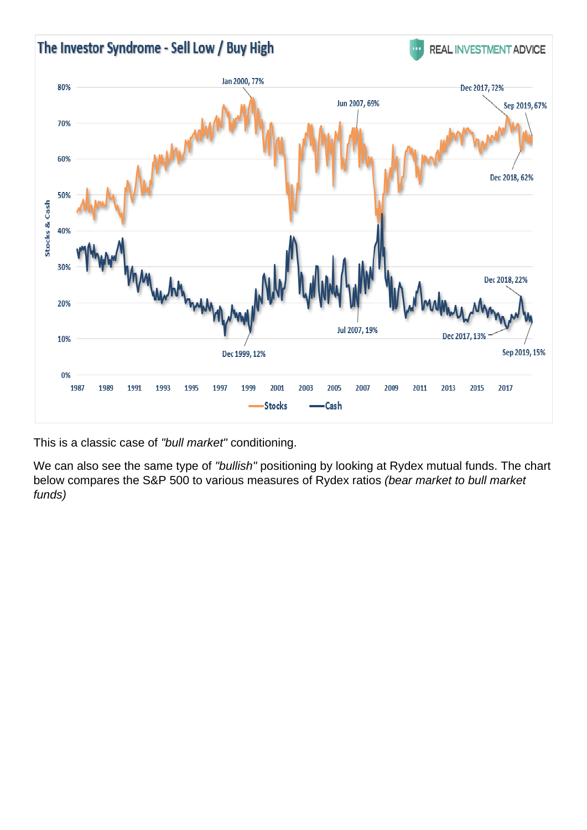This is a classic case of "bull market" conditioning.

We can also see the same type of "bullish" positioning by looking at Rydex mutual funds. The chart below compares the S&P 500 to various measures of Rydex ratios (bear market to bull market funds)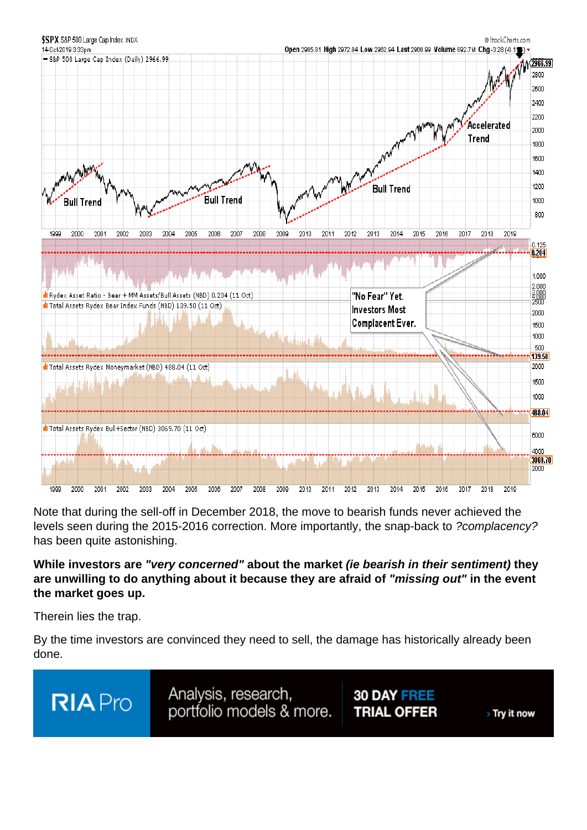Note that during the sell-off in December 2018, the move to bearish funds never achieved the levels seen during the 2015-2016 correction. More importantly, the snap-back to ?complacency? has been quite astonishing.

While investors are "very concerned" about the market (ie bearish in their sentiment) they are unwilling to do anything about it because they are afraid of "missing out" in the event the market goes up.

Therein lies the trap.

By the time investors are convinced they need to sell, the damage has historically already been done.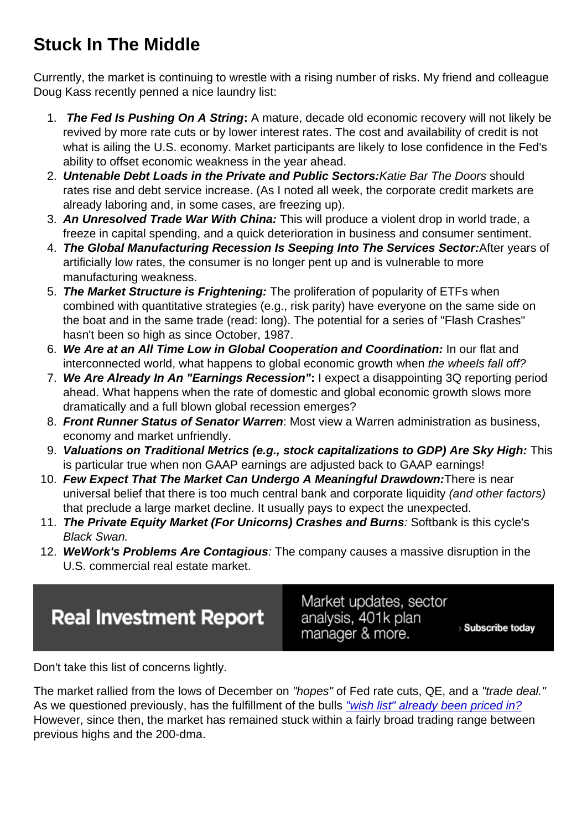## Stuck In The Middle

Currently, the market is continuing to wrestle with a rising number of risks. My friend and colleague Doug Kass recently penned a nice laundry list:

- 1. The Fed Is Pushing On A String : A mature, decade old economic recovery will not likely be revived by more rate cuts or by lower interest rates. The cost and availability of credit is not what is ailing the U.S. economy. Market participants are likely to lose confidence in the Fed's ability to offset economic weakness in the year ahead.
- 2. Untenable Debt Loads in the Private and Public Sectors: Katie Bar The Doors should rates rise and debt service increase. (As I noted all week, the corporate credit markets are already laboring and, in some cases, are freezing up).
- 3. An Unresolved Trade War With China: This will produce a violent drop in world trade, a freeze in capital spending, and a quick deterioration in business and consumer sentiment.
- 4. The Global Manufacturing Recession Is Seeping Into The Services Sector: After years of artificially low rates, the consumer is no longer pent up and is vulnerable to more manufacturing weakness.
- 5. The Market Structure is Frightening: The proliferation of popularity of ETFs when combined with quantitative strategies (e.g., risk parity) have everyone on the same side on the boat and in the same trade (read: long). The potential for a series of "Flash Crashes" hasn't been so high as since October, 1987.
- 6. We Are at an All Time Low in Global Cooperation and Coordination: In our flat and interconnected world, what happens to global economic growth when the wheels fall off?
- 7. We Are Already In An "Earnings Recession" : I expect a disappointing 3Q reporting period ahead. What happens when the rate of domestic and global economic growth slows more dramatically and a full blown global recession emerges?
- 8. Front Runner Status of Senator Warren : Most view a Warren administration as business, economy and market unfriendly.
- 9. Valuations on Traditional Metrics (e.g., stock capitalizations to GDP) Are Sky High: This is particular true when non GAAP earnings are adjusted back to GAAP earnings!
- 10. Few Expect That The Market Can Undergo A Meaningful Drawdown: There is near universal belief that there is too much central bank and corporate liquidity (and other factors) that preclude a large market decline. It usually pays to expect the unexpected.
- 11. The Private Equity Market (For Unicorns) Crashes and Burns : Softbank is this cycle's Black Swan.
- 12. WeWork's Problems Are Contagious : The company causes a massive disruption in the U.S. commercial real estate market.

Don't take this list of concerns lightly.

The market rallied from the lows of December on "hopes" of Fed rate cuts, QE, and a "trade deal." As we questioned previously, has the fulfillment of the bulls ["wish list" already been priced in?](https://realinvestmentadvice.com/has-the-narrative-been-all-priced-in-09-13-19/) However, since then, the market has remained stuck within a fairly broad trading range between previous highs and the 200-dma.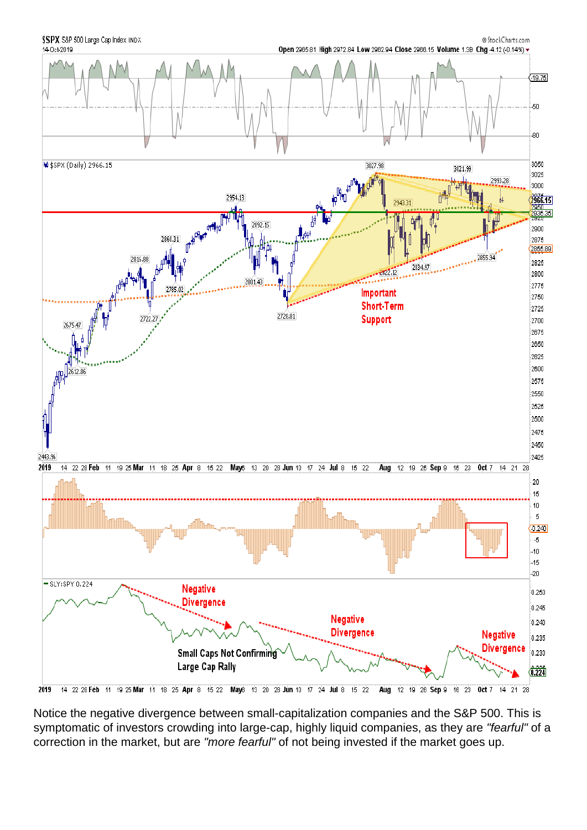Notice the negative divergence between small-capitalization companies and the S&P 500. This is symptomatic of investors crowding into large-cap, highly liquid companies, as they are "fearful" of a correction in the market, but are "more fearful" of not being invested if the market goes up.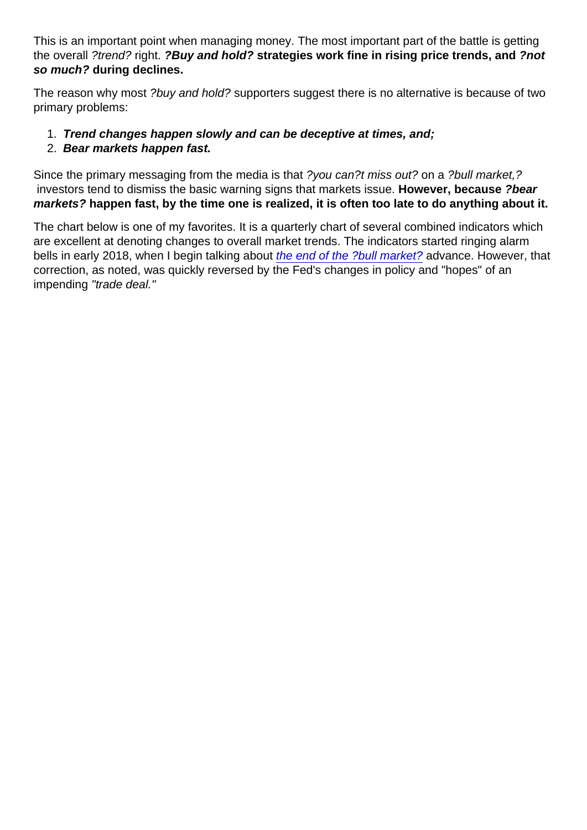This is an important point when managing money. The most important part of the battle is getting the overall ?trend? right. ?Buy and hold? strategies work fine in rising price trends, and ?not so much? during declines.

The reason why most ?buy and hold? supporters suggest there is no alternative is because of two primary problems:

- 1. Trend changes happen slowly and can be deceptive at times, and;
- 2. Bear markets happen fast.

Since the primary messaging from the media is that ?you can?t miss out? on a ?bull market,? investors tend to dismiss the basic warning signs that markets issue. However, because ?bear markets? happen fast, by the time one is realized, it is often too late to do anything about it.

The chart below is one of my favorites. It is a quarterly chart of several combined indicators which are excellent at denoting changes to overall market trends. The indicators started ringing alarm bells in early 2018, when I begin talking about [the end of the ?bull market?](https://realinvestmentadvice.com/the-market-breaks-has-the-bull-market-ended-03-23-18/) advance. However, that correction, as noted, was quickly reversed by the Fed's changes in policy and "hopes" of an impending "trade deal."